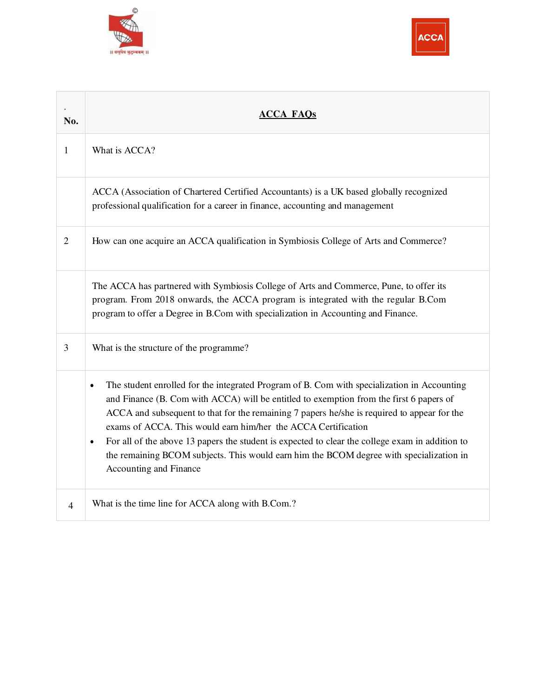



| No.            | <b>ACCA FAOs</b>                                                                                                                                                                                                                                                                                                                                                                                                                                                                                                                                                                                         |
|----------------|----------------------------------------------------------------------------------------------------------------------------------------------------------------------------------------------------------------------------------------------------------------------------------------------------------------------------------------------------------------------------------------------------------------------------------------------------------------------------------------------------------------------------------------------------------------------------------------------------------|
| 1              | What is ACCA?                                                                                                                                                                                                                                                                                                                                                                                                                                                                                                                                                                                            |
|                | ACCA (Association of Chartered Certified Accountants) is a UK based globally recognized<br>professional qualification for a career in finance, accounting and management                                                                                                                                                                                                                                                                                                                                                                                                                                 |
| $\overline{2}$ | How can one acquire an ACCA qualification in Symbiosis College of Arts and Commerce?                                                                                                                                                                                                                                                                                                                                                                                                                                                                                                                     |
|                | The ACCA has partnered with Symbiosis College of Arts and Commerce, Pune, to offer its<br>program. From 2018 onwards, the ACCA program is integrated with the regular B.Com<br>program to offer a Degree in B.Com with specialization in Accounting and Finance.                                                                                                                                                                                                                                                                                                                                         |
| 3              | What is the structure of the programme?                                                                                                                                                                                                                                                                                                                                                                                                                                                                                                                                                                  |
|                | The student enrolled for the integrated Program of B. Com with specialization in Accounting<br>$\bullet$<br>and Finance (B. Com with ACCA) will be entitled to exemption from the first 6 papers of<br>ACCA and subsequent to that for the remaining 7 papers he/she is required to appear for the<br>exams of ACCA. This would earn him/her the ACCA Certification<br>For all of the above 13 papers the student is expected to clear the college exam in addition to<br>$\bullet$<br>the remaining BCOM subjects. This would earn him the BCOM degree with specialization in<br>Accounting and Finance |
| $\overline{4}$ | What is the time line for ACCA along with B.Com.?                                                                                                                                                                                                                                                                                                                                                                                                                                                                                                                                                        |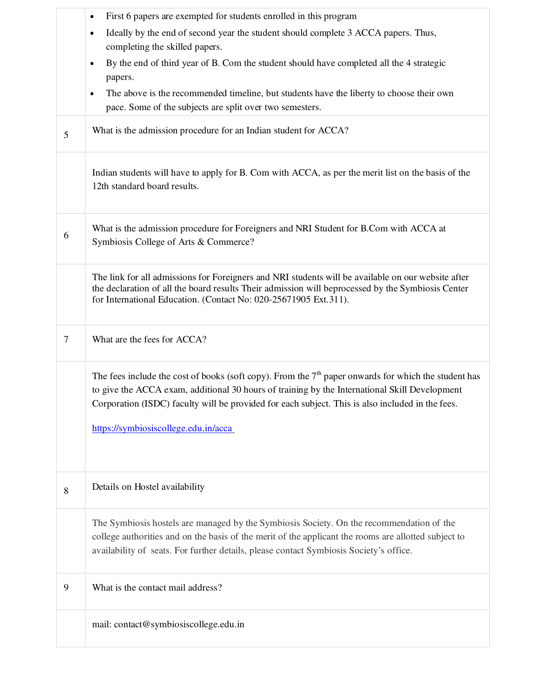|                | First 6 papers are exempted for students enrolled in this program                                                                                                                                                                                                                                                                                   |
|----------------|-----------------------------------------------------------------------------------------------------------------------------------------------------------------------------------------------------------------------------------------------------------------------------------------------------------------------------------------------------|
|                | Ideally by the end of second year the student should complete 3 ACCA papers. Thus,<br>$\bullet$<br>completing the skilled papers.                                                                                                                                                                                                                   |
|                | By the end of third year of B. Com the student should have completed all the 4 strategic<br>$\bullet$<br>papers.                                                                                                                                                                                                                                    |
|                | The above is the recommended timeline, but students have the liberty to choose their own<br>$\bullet$<br>pace. Some of the subjects are split over two semesters.                                                                                                                                                                                   |
| 5              | What is the admission procedure for an Indian student for ACCA?                                                                                                                                                                                                                                                                                     |
|                | Indian students will have to apply for B. Com with ACCA, as per the merit list on the basis of the<br>12th standard board results.                                                                                                                                                                                                                  |
| 6              | What is the admission procedure for Foreigners and NRI Student for B.Com with ACCA at<br>Symbiosis College of Arts & Commerce?                                                                                                                                                                                                                      |
|                | The link for all admissions for Foreigners and NRI students will be available on our website after<br>the declaration of all the board results Their admission will be processed by the Symbiosis Center<br>for International Education. (Contact No: 020-25671905 Ext.311).                                                                        |
| $\overline{7}$ | What are the fees for ACCA?                                                                                                                                                                                                                                                                                                                         |
|                | The fees include the cost of books (soft copy). From the $7th$ paper onwards for which the student has<br>to give the ACCA exam, additional 30 hours of training by the International Skill Development<br>Corporation (ISDC) faculty will be provided for each subject. This is also included in the fees.<br>https://symbiosiscollege.edu.in/acca |
| 8              | Details on Hostel availability                                                                                                                                                                                                                                                                                                                      |
|                | The Symbiosis hostels are managed by the Symbiosis Society. On the recommendation of the<br>college authorities and on the basis of the merit of the applicant the rooms are allotted subject to<br>availability of seats. For further details, please contact Symbiosis Society's office.                                                          |
| 9              | What is the contact mail address?                                                                                                                                                                                                                                                                                                                   |
|                | mail: contact@symbiosiscollege.edu.in                                                                                                                                                                                                                                                                                                               |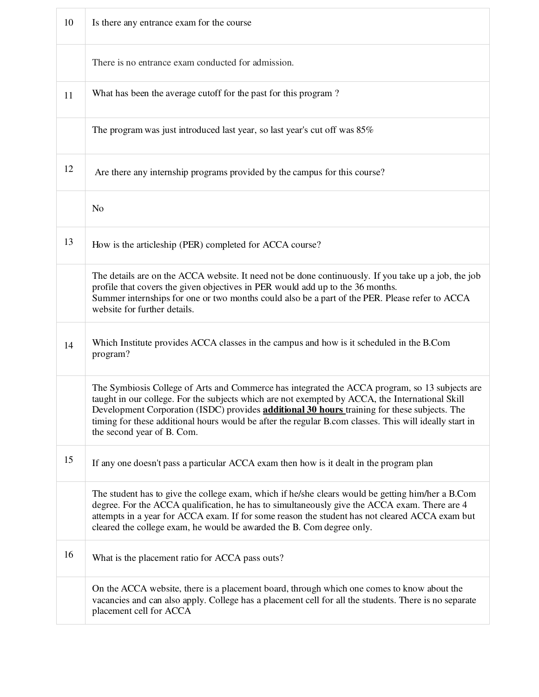| 10 | Is there any entrance exam for the course                                                                                                                                                                                                                                                                                                                                                                                                        |
|----|--------------------------------------------------------------------------------------------------------------------------------------------------------------------------------------------------------------------------------------------------------------------------------------------------------------------------------------------------------------------------------------------------------------------------------------------------|
|    | There is no entrance exam conducted for admission.                                                                                                                                                                                                                                                                                                                                                                                               |
| 11 | What has been the average cutoff for the past for this program?                                                                                                                                                                                                                                                                                                                                                                                  |
|    | The program was just introduced last year, so last year's cut off was 85%                                                                                                                                                                                                                                                                                                                                                                        |
| 12 | Are there any internship programs provided by the campus for this course?                                                                                                                                                                                                                                                                                                                                                                        |
|    | N <sub>o</sub>                                                                                                                                                                                                                                                                                                                                                                                                                                   |
| 13 | How is the articleship (PER) completed for ACCA course?                                                                                                                                                                                                                                                                                                                                                                                          |
|    | The details are on the ACCA website. It need not be done continuously. If you take up a job, the job<br>profile that covers the given objectives in PER would add up to the 36 months.<br>Summer internships for one or two months could also be a part of the PER. Please refer to ACCA<br>website for further details.                                                                                                                         |
| 14 | Which Institute provides ACCA classes in the campus and how is it scheduled in the B.Com<br>program?                                                                                                                                                                                                                                                                                                                                             |
|    | The Symbiosis College of Arts and Commerce has integrated the ACCA program, so 13 subjects are<br>taught in our college. For the subjects which are not exempted by ACCA, the International Skill<br>Development Corporation (ISDC) provides <b>additional 30 hours</b> training for these subjects. The<br>timing for these additional hours would be after the regular B.com classes. This will ideally start in<br>the second year of B. Com. |
| 15 | If any one doesn't pass a particular ACCA exam then how is it dealt in the program plan                                                                                                                                                                                                                                                                                                                                                          |
|    | The student has to give the college exam, which if he/she clears would be getting him/her a B.Com<br>degree. For the ACCA qualification, he has to simultaneously give the ACCA exam. There are 4<br>attempts in a year for ACCA exam. If for some reason the student has not cleared ACCA exam but<br>cleared the college exam, he would be awarded the B. Com degree only.                                                                     |
| 16 | What is the placement ratio for ACCA pass outs?                                                                                                                                                                                                                                                                                                                                                                                                  |
|    | On the ACCA website, there is a placement board, through which one comes to know about the<br>vacancies and can also apply. College has a placement cell for all the students. There is no separate<br>placement cell for ACCA                                                                                                                                                                                                                   |